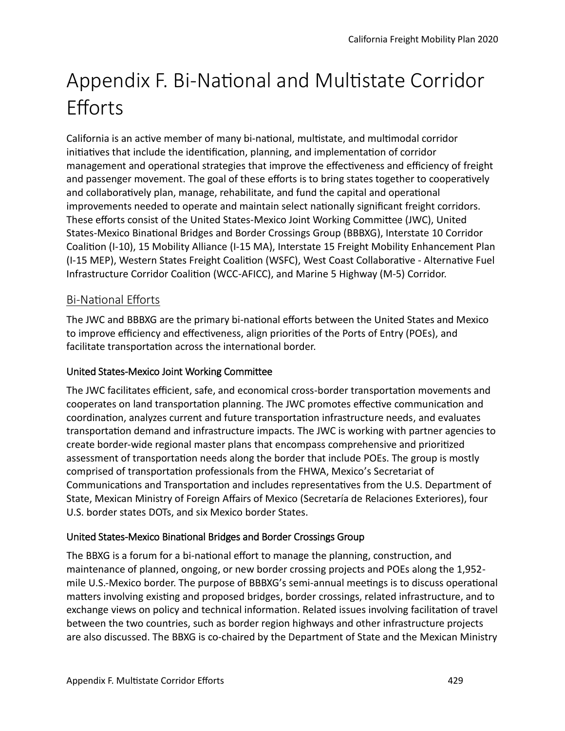# Appendix F. Bi-National and Multistate Corridor **Efforts**

California is an actve member of many bi-natonal, multstate, and multmodal corridor initiatives that include the identification, planning, and implementation of corridor management and operational strategies that improve the effectiveness and efficiency of freight and passenger movement. The goal of these efforts is to bring states together to cooperatively and collaboratively plan, manage, rehabilitate, and fund the capital and operational improvements needed to operate and maintain select natonally signifcant freight corridors. These eforts consist of the United States-Mexico Joint Working Commitee (JWC), United States-Mexico Binatonal Bridges and Border Crossings Group (BBBXG), Interstate 10 Corridor Coaliton (I-10), 15 Mobility Alliance (I-15 MA), Interstate 15 Freight Mobility Enhancement Plan (I-15 MEP), Western States Freight Coaliton (WSFC), West Coast Collaboratve - Alternatve Fuel Infrastructure Corridor Coaliton (WCC-AFICC), and Marine 5 Highway (M-5) Corridor.

# **Bi-National Efforts**

The JWC and BBBXG are the primary bi-national efforts between the United States and Mexico to improve efficiency and effectiveness, align priorities of the Ports of Entry (POEs), and facilitate transportation across the international border.

#### United States-Mexico Joint Working Commitee

The JWC facilitates efficient, safe, and economical cross-border transportation movements and cooperates on land transportation planning. The JWC promotes effective communication and coordination, analyzes current and future transportation infrastructure needs, and evaluates transportation demand and infrastructure impacts. The JWC is working with partner agencies to create border-wide regional master plans that encompass comprehensive and prioritzed assessment of transportaton needs along the border that include POEs. The group is mostly comprised of transportation professionals from the FHWA, Mexico's Secretariat of Communications and Transportation and includes representatives from the U.S. Department of State, Mexican Ministry of Foreign Afairs of Mexico (Secretaría de Relaciones Exteriores), four U.S. border states DOTs, and six Mexico border States.

#### United States-Mexico Binational Bridges and Border Crossings Group

The BBXG is a forum for a bi-national effort to manage the planning, construction, and maintenance of planned, ongoing, or new border crossing projects and POEs along the 1,952 mile U.S.-Mexico border. The purpose of BBBXG's semi-annual meetngs is to discuss operatonal maters involving existng and proposed bridges, border crossings, related infrastructure, and to exchange views on policy and technical informaton. Related issues involving facilitaton of travel between the two countries, such as border region highways and other infrastructure projects are also discussed. The BBXG is co-chaired by the Department of State and the Mexican Ministry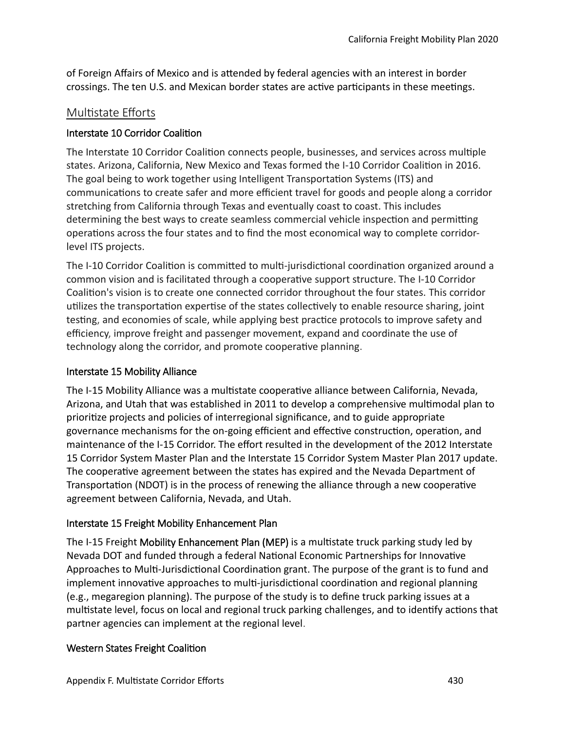of Foreign Afairs of Mexico and is atended by federal agencies with an interest in border crossings. The ten U.S. and Mexican border states are active participants in these meetings.

## Multistate Efforts

#### Interstate 10 Corridor Coaliton

The Interstate 10 Corridor Coalition connects people, businesses, and services across multiple states. Arizona, California, New Mexico and Texas formed the I-10 Corridor Coaliton in 2016. The goal being to work together using Intelligent Transportaton Systems (ITS) and communications to create safer and more efficient travel for goods and people along a corridor stretching from California through Texas and eventually coast to coast. This includes determining the best ways to create seamless commercial vehicle inspection and permitting operations across the four states and to find the most economical way to complete corridorlevel ITS projects.

The I-10 Corridor Coaliton is commited to mult-jurisdictonal coordinaton organized around a common vision and is facilitated through a cooperative support structure. The I-10 Corridor Coaliton's vision is to create one connected corridor throughout the four states. This corridor utilizes the transportation expertise of the states collectively to enable resource sharing, joint testing, and economies of scale, while applying best practice protocols to improve safety and efficiency, improve freight and passenger movement, expand and coordinate the use of technology along the corridor, and promote cooperative planning.

#### Interstate 15 Mobility Alliance

The I-15 Mobility Alliance was a multistate cooperative alliance between California, Nevada, Arizona, and Utah that was established in 2011 to develop a comprehensive multmodal plan to prioritze projects and policies of interregional signifcance, and to guide appropriate governance mechanisms for the on-going efficient and effective construction, operation, and maintenance of the I-15 Corridor. The effort resulted in the development of the 2012 Interstate 15 Corridor System Master Plan and the Interstate 15 Corridor System Master Plan 2017 update. The cooperative agreement between the states has expired and the Nevada Department of Transportation (NDOT) is in the process of renewing the alliance through a new cooperative agreement between California, Nevada, and Utah.

## Interstate 15 Freight Mobility Enhancement Plan

The I-15 Freight Mobility Enhancement Plan (MEP) is a multstate truck parking study led by Nevada DOT and funded through a federal Natonal Economic Partnerships for Innovatve Approaches to Multi-Jurisdictional Coordination grant. The purpose of the grant is to fund and implement innovative approaches to multi-jurisdictional coordination and regional planning (e.g., megaregion planning). The purpose of the study is to defne truck parking issues at a multistate level, focus on local and regional truck parking challenges, and to identify actions that partner agencies can implement at the regional level.

## Western States Freight Coaliton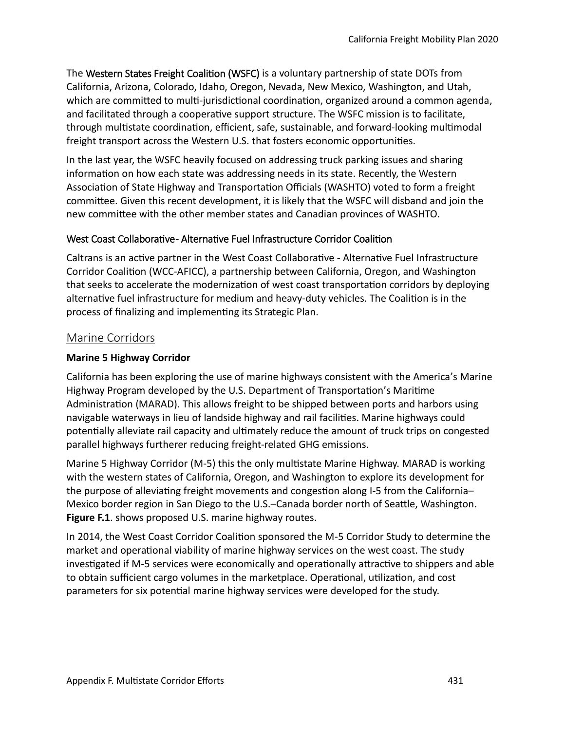The Western States Freight Coaliton (WSFC) is a voluntary partnership of state DOTs from California, Arizona, Colorado, Idaho, Oregon, Nevada, New Mexico, Washington, and Utah, which are committed to multi-jurisdictional coordination, organized around a common agenda, and facilitated through a cooperatve support structure. The WSFC mission is to facilitate, through multistate coordination, efficient, safe, sustainable, and forward-looking multimodal freight transport across the Western U.S. that fosters economic opportunites.

In the last year, the WSFC heavily focused on addressing truck parking issues and sharing information on how each state was addressing needs in its state. Recently, the Western Association of State Highway and Transportation Officials (WASHTO) voted to form a freight commitee. Given this recent development, it is likely that the WSFC will disband and join the new commitee with the other member states and Canadian provinces of WASHTO.

#### West Coast Collaborative- Alternative Fuel Infrastructure Corridor Coalition

Caltrans is an active partner in the West Coast Collaborative - Alternative Fuel Infrastructure Corridor Coaliton (WCC-AFICC), a partnership between California, Oregon, and Washington that seeks to accelerate the modernization of west coast transportation corridors by deploying alternative fuel infrastructure for medium and heavy-duty vehicles. The Coalition is in the process of fnalizing and implementng its Strategic Plan.

#### Marine Corridors

#### **Marine 5 Highway Corridor**

California has been exploring the use of marine highways consistent with the America's Marine Highway Program developed by the U.S. Department of Transportation's Maritime Administration (MARAD). This allows freight to be shipped between ports and harbors using navigable waterways in lieu of landside highway and rail facilites. Marine highways could potentally alleviate rail capacity and ultmately reduce the amount of truck trips on congested parallel highways furtherer reducing freight-related GHG emissions.

Marine 5 Highway Corridor (M-5) this the only multstate Marine Highway. MARAD is working with the western states of California, Oregon, and Washington to explore its development for the purpose of alleviating freight movements and congestion along I-5 from the California-Mexico border region in San Diego to the U.S.–Canada border north of Seatle, Washington. **Figure F.1**. shows proposed U.S. marine highway routes.

In 2014, the West Coast Corridor Coaliton sponsored the M-5 Corridor Study to determine the market and operatonal viability of marine highway services on the west coast. The study investigated if M-5 services were economically and operationally attractive to shippers and able to obtain sufficient cargo volumes in the marketplace. Operational, utilization, and cost parameters for six potental marine highway services were developed for the study.